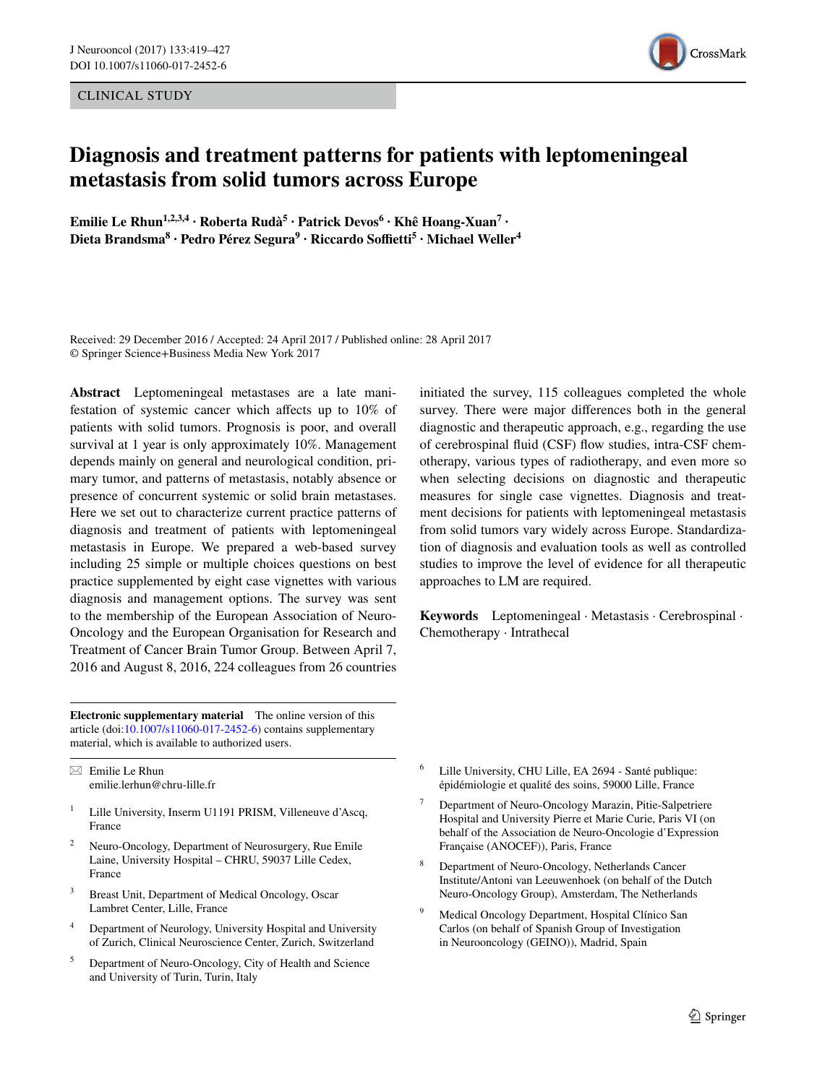CLINICAL STUDY



# **Diagnosis and treatment patterns for patients with leptomeningeal metastasis from solid tumors across Europe**

**Emilie Le Rhun1,2,3,4 · Roberta Rudà5 · Patrick Devos<sup>6</sup> · Khê Hoang‑Xuan7 · Dieta Brandsma<sup>8</sup> · Pedro Pérez Segura9 · Riccardo Soffietti<sup>5</sup> · Michael Weller4**

Received: 29 December 2016 / Accepted: 24 April 2017 / Published online: 28 April 2017 © Springer Science+Business Media New York 2017

**Abstract** Leptomeningeal metastases are a late manifestation of systemic cancer which affects up to 10% of patients with solid tumors. Prognosis is poor, and overall survival at 1 year is only approximately 10%. Management depends mainly on general and neurological condition, primary tumor, and patterns of metastasis, notably absence or presence of concurrent systemic or solid brain metastases. Here we set out to characterize current practice patterns of diagnosis and treatment of patients with leptomeningeal metastasis in Europe. We prepared a web-based survey including 25 simple or multiple choices questions on best practice supplemented by eight case vignettes with various diagnosis and management options. The survey was sent to the membership of the European Association of Neuro-Oncology and the European Organisation for Research and Treatment of Cancer Brain Tumor Group. Between April 7, 2016 and August 8, 2016, 224 colleagues from 26 countries

**Electronic supplementary material** The online version of this article (doi:[10.1007/s11060-017-2452-6\)](http://dx.doi.org/10.1007/s11060-017-2452-6) contains supplementary material, which is available to authorized users.

 $\boxtimes$  Emilie Le Rhun emilie.lerhun@chru-lille.fr

- <sup>1</sup> Lille University, Inserm U1191 PRISM, Villeneuve d'Ascq, France
- Neuro-Oncology, Department of Neurosurgery, Rue Emile Laine, University Hospital – CHRU, 59037 Lille Cedex, France
- Breast Unit, Department of Medical Oncology, Oscar Lambret Center, Lille, France
- <sup>4</sup> Department of Neurology, University Hospital and University of Zurich, Clinical Neuroscience Center, Zurich, Switzerland
- <sup>5</sup> Department of Neuro-Oncology, City of Health and Science and University of Turin, Turin, Italy

initiated the survey, 115 colleagues completed the whole survey. There were major differences both in the general diagnostic and therapeutic approach, e.g., regarding the use of cerebrospinal fluid (CSF) flow studies, intra-CSF chemotherapy, various types of radiotherapy, and even more so when selecting decisions on diagnostic and therapeutic measures for single case vignettes. Diagnosis and treatment decisions for patients with leptomeningeal metastasis from solid tumors vary widely across Europe. Standardization of diagnosis and evaluation tools as well as controlled studies to improve the level of evidence for all therapeutic approaches to LM are required.

**Keywords** Leptomeningeal · Metastasis · Cerebrospinal · Chemotherapy · Intrathecal

- <sup>6</sup> Lille University, CHU Lille, EA 2694 Santé publique: épidémiologie et qualité des soins, 59000 Lille, France
- <sup>7</sup> Department of Neuro-Oncology Marazin, Pitie-Salpetriere Hospital and University Pierre et Marie Curie, Paris VI (on behalf of the Association de Neuro-Oncologie d'Expression Française (ANOCEF)), Paris, France
- <sup>8</sup> Department of Neuro-Oncology, Netherlands Cancer Institute/Antoni van Leeuwenhoek (on behalf of the Dutch Neuro-Oncology Group), Amsterdam, The Netherlands
- <sup>9</sup> Medical Oncology Department, Hospital Clínico San Carlos (on behalf of Spanish Group of Investigation in Neurooncology (GEINO)), Madrid, Spain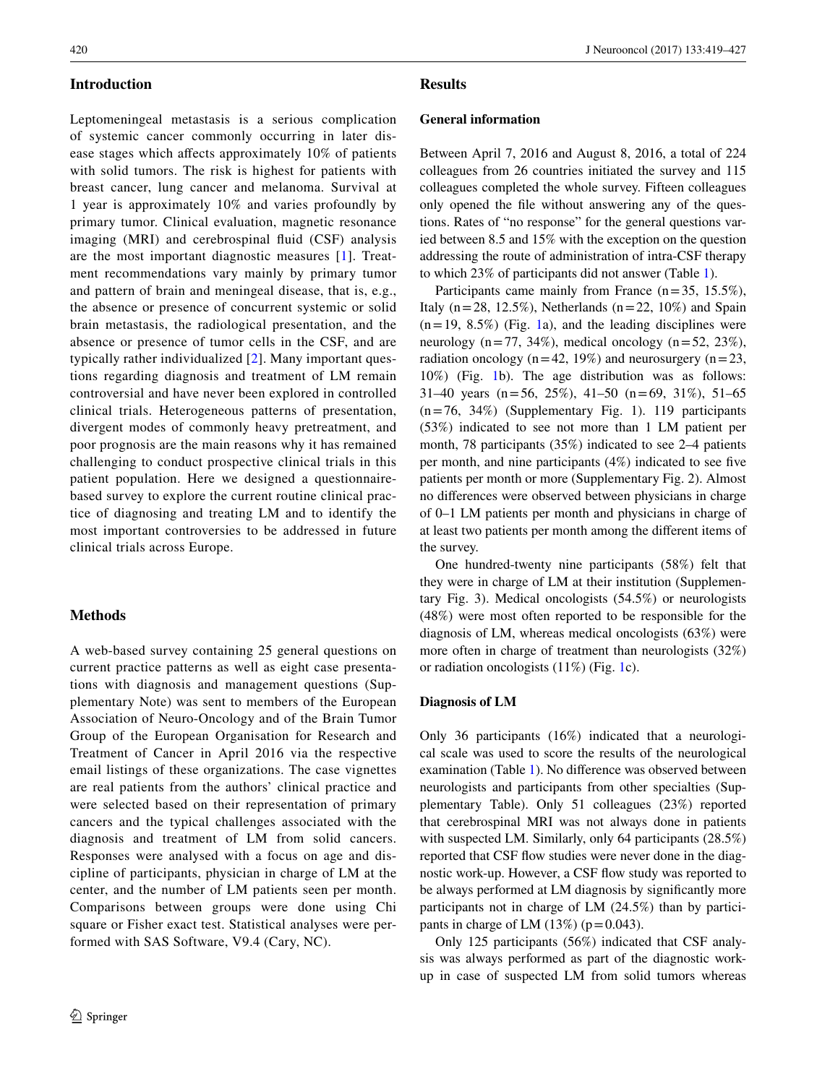## **Introduction**

Leptomeningeal metastasis is a serious complication of systemic cancer commonly occurring in later disease stages which affects approximately 10% of patients with solid tumors. The risk is highest for patients with breast cancer, lung cancer and melanoma. Survival at 1 year is approximately 10% and varies profoundly by primary tumor. Clinical evaluation, magnetic resonance imaging (MRI) and cerebrospinal fluid (CSF) analysis are the most important diagnostic measures [\[1\]](#page-7-0). Treatment recommendations vary mainly by primary tumor and pattern of brain and meningeal disease, that is, e.g., the absence or presence of concurrent systemic or solid brain metastasis, the radiological presentation, and the absence or presence of tumor cells in the CSF, and are typically rather individualized [[2](#page-7-1)]. Many important questions regarding diagnosis and treatment of LM remain controversial and have never been explored in controlled clinical trials. Heterogeneous patterns of presentation, divergent modes of commonly heavy pretreatment, and poor prognosis are the main reasons why it has remained challenging to conduct prospective clinical trials in this patient population. Here we designed a questionnairebased survey to explore the current routine clinical practice of diagnosing and treating LM and to identify the most important controversies to be addressed in future clinical trials across Europe.

## **Methods**

A web-based survey containing 25 general questions on current practice patterns as well as eight case presentations with diagnosis and management questions (Supplementary Note) was sent to members of the European Association of Neuro-Oncology and of the Brain Tumor Group of the European Organisation for Research and Treatment of Cancer in April 2016 via the respective email listings of these organizations. The case vignettes are real patients from the authors' clinical practice and were selected based on their representation of primary cancers and the typical challenges associated with the diagnosis and treatment of LM from solid cancers. Responses were analysed with a focus on age and discipline of participants, physician in charge of LM at the center, and the number of LM patients seen per month. Comparisons between groups were done using Chi square or Fisher exact test. Statistical analyses were performed with SAS Software, V9.4 (Cary, NC).

# **Results**

#### **General information**

Between April 7, 2016 and August 8, 2016, a total of 224 colleagues from 26 countries initiated the survey and 115 colleagues completed the whole survey. Fifteen colleagues only opened the file without answering any of the questions. Rates of "no response" for the general questions varied between 8.5 and 15% with the exception on the question addressing the route of administration of intra-CSF therapy to which 23% of participants did not answer (Table [1\)](#page-2-0).

Participants came mainly from France  $(n=35, 15.5\%)$ , Italy ( $n=28$ , 12.5%), Netherlands ( $n=22$ , 10%) and Spain  $(n=19, 8.5\%)$  (Fig. [1a](#page-4-0)), and the leading disciplines were neurology (n=77, 34%), medical oncology (n=52, 23%), radiation oncology ( $n=42$ , 19%) and neurosurgery ( $n=23$ , 10%) (Fig. [1b](#page-4-0)). The age distribution was as follows: 31–40 years (n=56, 25%), 41–50 (n=69, 31%), 51–65  $(n=76, 34\%)$  (Supplementary Fig. 1). 119 participants (53%) indicated to see not more than 1 LM patient per month, 78 participants (35%) indicated to see 2–4 patients per month, and nine participants (4%) indicated to see five patients per month or more (Supplementary Fig. 2). Almost no differences were observed between physicians in charge of 0–1 LM patients per month and physicians in charge of at least two patients per month among the different items of the survey.

One hundred-twenty nine participants (58%) felt that they were in charge of LM at their institution (Supplementary Fig. 3). Medical oncologists (54.5%) or neurologists (48%) were most often reported to be responsible for the diagnosis of LM, whereas medical oncologists (63%) were more often in charge of treatment than neurologists (32%) or radiation oncologists (11%) (Fig. [1](#page-4-0)c).

### **Diagnosis of LM**

Only 36 participants (16%) indicated that a neurological scale was used to score the results of the neurological examination (Table [1\)](#page-2-0). No difference was observed between neurologists and participants from other specialties (Supplementary Table). Only 51 colleagues (23%) reported that cerebrospinal MRI was not always done in patients with suspected LM. Similarly, only 64 participants (28.5%) reported that CSF flow studies were never done in the diagnostic work-up. However, a CSF flow study was reported to be always performed at LM diagnosis by significantly more participants not in charge of LM (24.5%) than by participants in charge of LM  $(13\%)$  (p=0.043).

Only 125 participants (56%) indicated that CSF analysis was always performed as part of the diagnostic workup in case of suspected LM from solid tumors whereas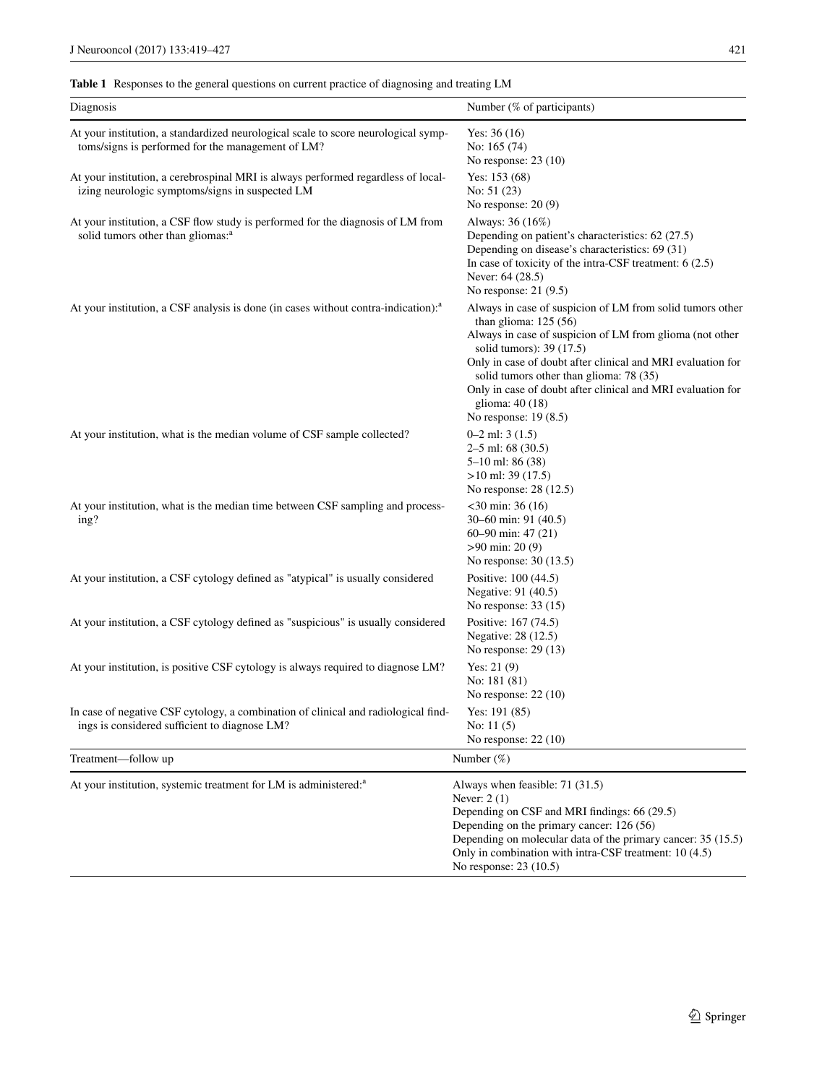<span id="page-2-0"></span>**Table 1** Responses to the general questions on current practice of diagnosing and treating LM

| Diagnosis                                                                                                                               | Number (% of participants)                                                                                                                                                                                                                                                                                                                                                                        |
|-----------------------------------------------------------------------------------------------------------------------------------------|---------------------------------------------------------------------------------------------------------------------------------------------------------------------------------------------------------------------------------------------------------------------------------------------------------------------------------------------------------------------------------------------------|
| At your institution, a standardized neurological scale to score neurological symp-<br>toms/signs is performed for the management of LM? | Yes: $36(16)$<br>No: 165 (74)<br>No response: $23(10)$                                                                                                                                                                                                                                                                                                                                            |
| At your institution, a cerebrospinal MRI is always performed regardless of local-<br>izing neurologic symptoms/signs in suspected LM    | Yes: $153(68)$<br>No: $51(23)$<br>No response: $20(9)$                                                                                                                                                                                                                                                                                                                                            |
| At your institution, a CSF flow study is performed for the diagnosis of LM from<br>solid tumors other than gliomas: <sup>a</sup>        | Always: 36 (16%)<br>Depending on patient's characteristics: 62 (27.5)<br>Depending on disease's characteristics: 69 (31)<br>In case of toxicity of the intra-CSF treatment: $6(2.5)$<br>Never: 64 (28.5)<br>No response: $21(9.5)$                                                                                                                                                                |
| At your institution, a CSF analysis is done (in cases without contra-indication): <sup>a</sup>                                          | Always in case of suspicion of LM from solid tumors other<br>than glioma: $125(56)$<br>Always in case of suspicion of LM from glioma (not other<br>solid tumors): 39 (17.5)<br>Only in case of doubt after clinical and MRI evaluation for<br>solid tumors other than glioma: 78 (35)<br>Only in case of doubt after clinical and MRI evaluation for<br>glioma: 40 (18)<br>No response: $19(8.5)$ |
| At your institution, what is the median volume of CSF sample collected?                                                                 | $0-2$ ml: 3 $(1.5)$<br>$2-5$ ml: 68 (30.5)<br>$5-10$ ml: 86 (38)<br>$>10$ ml: 39 (17.5)<br>No response: 28 (12.5)                                                                                                                                                                                                                                                                                 |
| At your institution, what is the median time between CSF sampling and process-<br>ing?                                                  | $<$ 30 min: 36 (16)<br>30–60 min: 91 (40.5)<br>60–90 min: $47(21)$<br>$>90 \text{ min: } 20(9)$<br>No response: 30 (13.5)                                                                                                                                                                                                                                                                         |
| At your institution, a CSF cytology defined as "atypical" is usually considered                                                         | Positive: 100 (44.5)<br>Negative: 91 (40.5)<br>No response: $33(15)$                                                                                                                                                                                                                                                                                                                              |
| At your institution, a CSF cytology defined as "suspicious" is usually considered                                                       | Positive: 167 (74.5)<br>Negative: 28 (12.5)<br>No response: $29(13)$                                                                                                                                                                                                                                                                                                                              |
| At your institution, is positive CSF cytology is always required to diagnose LM?                                                        | Yes: $21(9)$<br>No: 181 (81)<br>No response: $22(10)$                                                                                                                                                                                                                                                                                                                                             |
| In case of negative CSF cytology, a combination of clinical and radiological find-<br>ings is considered sufficient to diagnose LM?     | Yes: $191(85)$<br>No: $11(5)$<br>No response: $22(10)$                                                                                                                                                                                                                                                                                                                                            |
| Treatment-follow up                                                                                                                     | Number $(\%)$                                                                                                                                                                                                                                                                                                                                                                                     |
| At your institution, systemic treatment for LM is administered: <sup>a</sup>                                                            | Always when feasible: 71 (31.5)<br>Never: $2(1)$<br>Depending on CSF and MRI findings: 66 (29.5)<br>Depending on the primary cancer: 126 (56)<br>Depending on molecular data of the primary cancer: 35 (15.5)<br>Only in combination with intra-CSF treatment: 10 (4.5)<br>No response: 23 (10.5)                                                                                                 |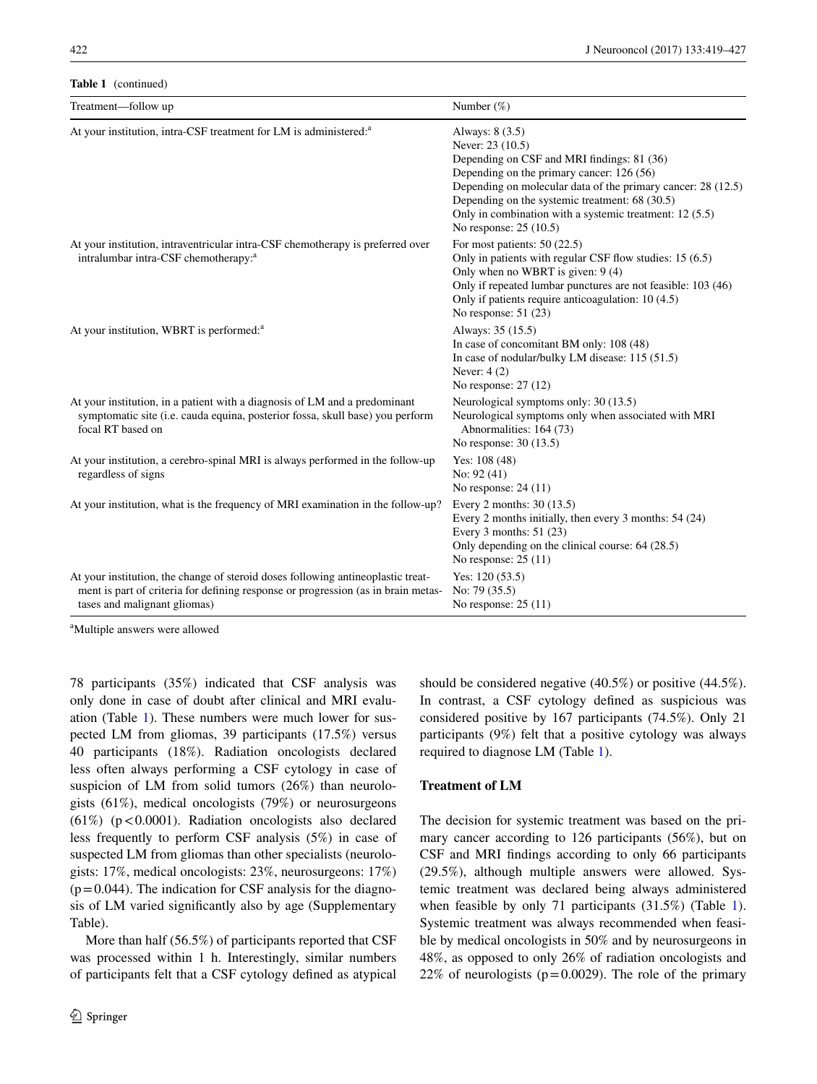#### **Table 1** (continued)

| Treatment-follow up                                                                                                                                                                                   | Number $(\%)$                                                                                                                                                                                                                                                                                                                         |
|-------------------------------------------------------------------------------------------------------------------------------------------------------------------------------------------------------|---------------------------------------------------------------------------------------------------------------------------------------------------------------------------------------------------------------------------------------------------------------------------------------------------------------------------------------|
| At your institution, intra-CSF treatment for LM is administered: <sup>a</sup>                                                                                                                         | Always: 8 (3.5)<br>Never: 23 (10.5)<br>Depending on CSF and MRI findings: 81 (36)<br>Depending on the primary cancer: 126 (56)<br>Depending on molecular data of the primary cancer: 28 (12.5)<br>Depending on the systemic treatment: 68 (30.5)<br>Only in combination with a systemic treatment: 12 (5.5)<br>No response: 25 (10.5) |
| At your institution, intraventricular intra-CSF chemotherapy is preferred over<br>intralumbar intra-CSF chemotherapy: <sup>a</sup>                                                                    | For most patients: $50(22.5)$<br>Only in patients with regular CSF flow studies: 15 (6.5)<br>Only when no WBRT is given: $9(4)$<br>Only if repeated lumbar punctures are not feasible: 103 (46)<br>Only if patients require anticoagulation: 10 (4.5)<br>No response: $51(23)$                                                        |
| At your institution, WBRT is performed: <sup>a</sup>                                                                                                                                                  | Always: 35 (15.5)<br>In case of concomitant BM only: 108 (48)<br>In case of nodular/bulky LM disease: 115 (51.5)<br>Never: $4(2)$<br>No response: $27(12)$                                                                                                                                                                            |
| At your institution, in a patient with a diagnosis of LM and a predominant<br>symptomatic site (i.e. cauda equina, posterior fossa, skull base) you perform<br>focal RT based on                      | Neurological symptoms only: 30 (13.5)<br>Neurological symptoms only when associated with MRI<br>Abnormalities: 164 (73)<br>No response: 30 (13.5)                                                                                                                                                                                     |
| At your institution, a cerebro-spinal MRI is always performed in the follow-up<br>regardless of signs                                                                                                 | Yes: $108(48)$<br>No: $92(41)$<br>No response: 24 (11)                                                                                                                                                                                                                                                                                |
| At your institution, what is the frequency of MRI examination in the follow-up?                                                                                                                       | Every 2 months: 30 (13.5)<br>Every 2 months initially, then every 3 months: 54 (24)<br>Every 3 months: $51(23)$<br>Only depending on the clinical course: 64 (28.5)<br>No response: $25(11)$                                                                                                                                          |
| At your institution, the change of steroid doses following antineoplastic treat-<br>ment is part of criteria for defining response or progression (as in brain metas-<br>tases and malignant gliomas) | Yes: $120(53.5)$<br>No: 79 (35.5)<br>No response: $25(11)$                                                                                                                                                                                                                                                                            |

a Multiple answers were allowed

78 participants (35%) indicated that CSF analysis was only done in case of doubt after clinical and MRI evaluation (Table [1\)](#page-2-0). These numbers were much lower for suspected LM from gliomas, 39 participants (17.5%) versus 40 participants (18%). Radiation oncologists declared less often always performing a CSF cytology in case of suspicion of LM from solid tumors (26%) than neurologists (61%), medical oncologists (79%) or neurosurgeons (61%) ( $p < 0.0001$ ). Radiation oncologists also declared less frequently to perform CSF analysis (5%) in case of suspected LM from gliomas than other specialists (neurologists: 17%, medical oncologists: 23%, neurosurgeons: 17%)  $(p=0.044)$ . The indication for CSF analysis for the diagnosis of LM varied significantly also by age (Supplementary Table).

More than half (56.5%) of participants reported that CSF was processed within 1 h. Interestingly, similar numbers of participants felt that a CSF cytology defined as atypical should be considered negative (40.5%) or positive (44.5%). In contrast, a CSF cytology defined as suspicious was considered positive by 167 participants (74.5%). Only 21 participants (9%) felt that a positive cytology was always required to diagnose LM (Table [1\)](#page-2-0).

#### **Treatment of LM**

The decision for systemic treatment was based on the primary cancer according to 126 participants (56%), but on CSF and MRI findings according to only 66 participants (29.5%), although multiple answers were allowed. Systemic treatment was declared being always administered when feasible by only 7[1](#page-2-0) participants  $(31.5\%)$  (Table 1). Systemic treatment was always recommended when feasible by medical oncologists in 50% and by neurosurgeons in 48%, as opposed to only 26% of radiation oncologists and 22% of neurologists ( $p=0.0029$ ). The role of the primary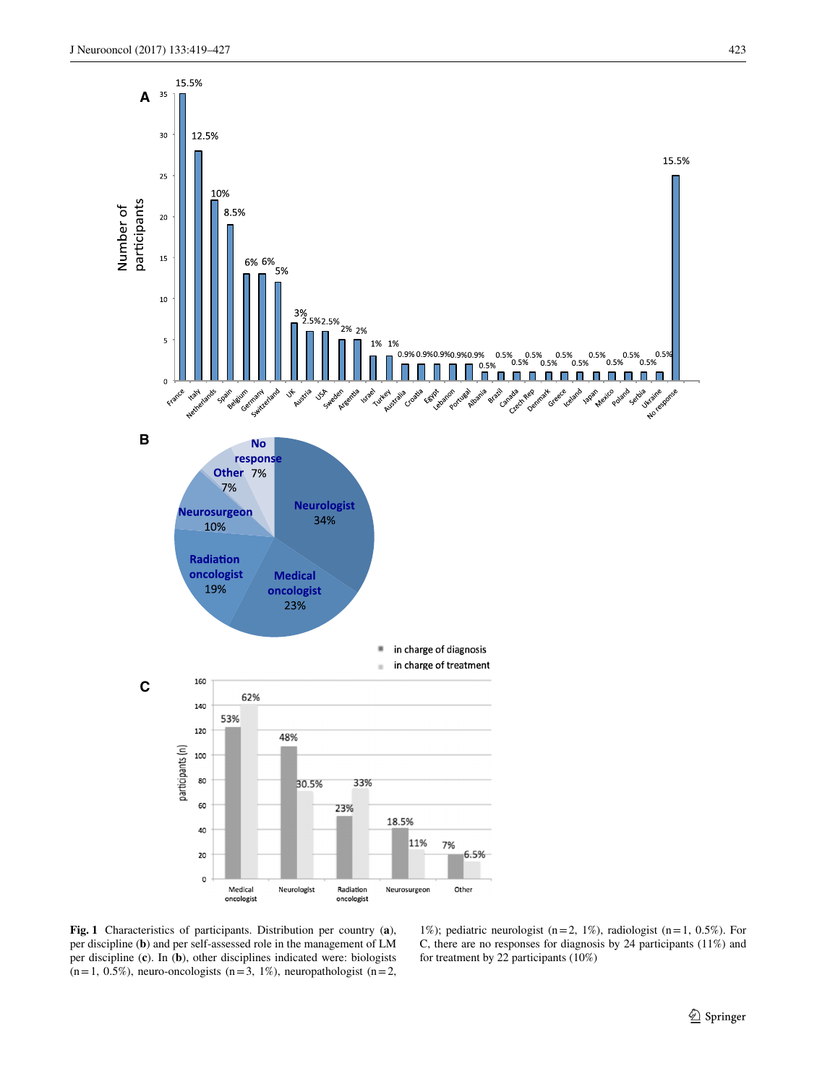

<span id="page-4-0"></span>**Fig. 1** Characteristics of participants. Distribution per country (**a**), per discipline (**b**) and per self-assessed role in the management of LM per discipline (**c**). In (**b**), other disciplines indicated were: biologists  $(n=1, 0.5\%)$ , neuro-oncologists  $(n=3, 1\%)$ , neuropathologist  $(n=2, 1\%)$ 

1%); pediatric neurologist (n=2, 1%), radiologist (n=1, 0.5%). For C, there are no responses for diagnosis by 24 participants (11%) and for treatment by 22 participants (10%)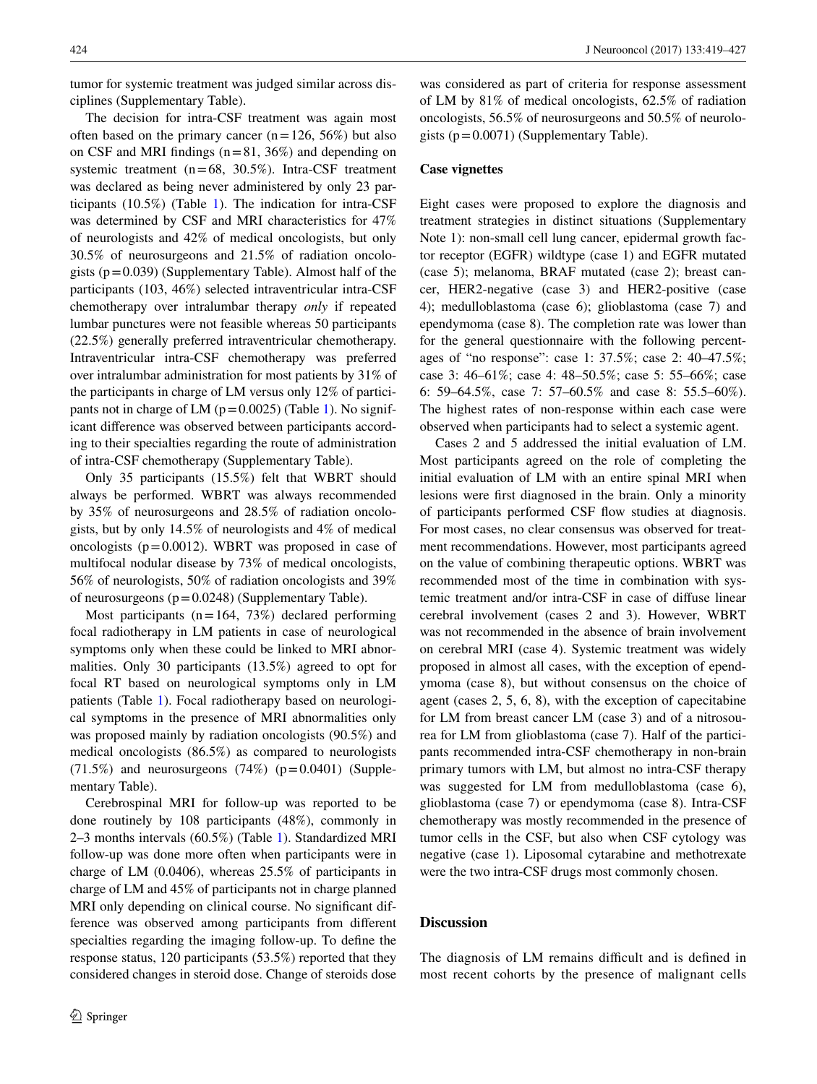tumor for systemic treatment was judged similar across disciplines (Supplementary Table).

The decision for intra-CSF treatment was again most often based on the primary cancer  $(n=126, 56%)$  but also on CSF and MRI findings  $(n=81, 36%)$  and depending on systemic treatment  $(n=68, 30.5\%)$ . Intra-CSF treatment was declared as being never administered by only 23 participants  $(10.5\%)$  $(10.5\%)$  $(10.5\%)$  (Table 1). The indication for intra-CSF was determined by CSF and MRI characteristics for 47% of neurologists and 42% of medical oncologists, but only 30.5% of neurosurgeons and 21.5% of radiation oncologists  $(p=0.039)$  (Supplementary Table). Almost half of the participants (103, 46%) selected intraventricular intra-CSF chemotherapy over intralumbar therapy *only* if repeated lumbar punctures were not feasible whereas 50 participants (22.5%) generally preferred intraventricular chemotherapy. Intraventricular intra-CSF chemotherapy was preferred over intralumbar administration for most patients by 31% of the participants in charge of LM versus only 12% of participants not in charge of LM ( $p=0.0025$ ) (Table [1](#page-2-0)). No significant difference was observed between participants according to their specialties regarding the route of administration of intra-CSF chemotherapy (Supplementary Table).

Only 35 participants (15.5%) felt that WBRT should always be performed. WBRT was always recommended by 35% of neurosurgeons and 28.5% of radiation oncologists, but by only 14.5% of neurologists and 4% of medical oncologists  $(p=0.0012)$ . WBRT was proposed in case of multifocal nodular disease by 73% of medical oncologists, 56% of neurologists, 50% of radiation oncologists and 39% of neurosurgeons  $(p=0.0248)$  (Supplementary Table).

Most participants  $(n=164, 73%)$  declared performing focal radiotherapy in LM patients in case of neurological symptoms only when these could be linked to MRI abnormalities. Only 30 participants (13.5%) agreed to opt for focal RT based on neurological symptoms only in LM patients (Table [1\)](#page-2-0). Focal radiotherapy based on neurological symptoms in the presence of MRI abnormalities only was proposed mainly by radiation oncologists (90.5%) and medical oncologists (86.5%) as compared to neurologists  $(71.5\%)$  and neurosurgeons  $(74\%)$   $(p=0.0401)$  (Supplementary Table).

Cerebrospinal MRI for follow-up was reported to be done routinely by 108 participants (48%), commonly in 2–3 months intervals (60.5%) (Table [1\)](#page-2-0). Standardized MRI follow-up was done more often when participants were in charge of LM (0.0406), whereas 25.5% of participants in charge of LM and 45% of participants not in charge planned MRI only depending on clinical course. No significant difference was observed among participants from different specialties regarding the imaging follow-up. To define the response status, 120 participants (53.5%) reported that they considered changes in steroid dose. Change of steroids dose was considered as part of criteria for response assessment of LM by 81% of medical oncologists, 62.5% of radiation oncologists, 56.5% of neurosurgeons and 50.5% of neurologists  $(p=0.0071)$  (Supplementary Table).

#### **Case vignettes**

Eight cases were proposed to explore the diagnosis and treatment strategies in distinct situations (Supplementary Note 1): non-small cell lung cancer, epidermal growth factor receptor (EGFR) wildtype (case 1) and EGFR mutated (case 5); melanoma, BRAF mutated (case 2); breast cancer, HER2-negative (case 3) and HER2-positive (case 4); medulloblastoma (case 6); glioblastoma (case 7) and ependymoma (case 8). The completion rate was lower than for the general questionnaire with the following percentages of "no response": case 1: 37.5%; case 2: 40–47.5%; case 3: 46–61%; case 4: 48–50.5%; case 5: 55–66%; case 6: 59–64.5%, case 7: 57–60.5% and case 8: 55.5–60%). The highest rates of non-response within each case were observed when participants had to select a systemic agent.

Cases 2 and 5 addressed the initial evaluation of LM. Most participants agreed on the role of completing the initial evaluation of LM with an entire spinal MRI when lesions were first diagnosed in the brain. Only a minority of participants performed CSF flow studies at diagnosis. For most cases, no clear consensus was observed for treatment recommendations. However, most participants agreed on the value of combining therapeutic options. WBRT was recommended most of the time in combination with systemic treatment and/or intra-CSF in case of diffuse linear cerebral involvement (cases 2 and 3). However, WBRT was not recommended in the absence of brain involvement on cerebral MRI (case 4). Systemic treatment was widely proposed in almost all cases, with the exception of ependymoma (case 8), but without consensus on the choice of agent (cases 2, 5, 6, 8), with the exception of capecitabine for LM from breast cancer LM (case 3) and of a nitrosourea for LM from glioblastoma (case 7). Half of the participants recommended intra-CSF chemotherapy in non-brain primary tumors with LM, but almost no intra-CSF therapy was suggested for LM from medulloblastoma (case 6), glioblastoma (case 7) or ependymoma (case 8). Intra-CSF chemotherapy was mostly recommended in the presence of tumor cells in the CSF, but also when CSF cytology was negative (case 1). Liposomal cytarabine and methotrexate were the two intra-CSF drugs most commonly chosen.

#### **Discussion**

The diagnosis of LM remains difficult and is defined in most recent cohorts by the presence of malignant cells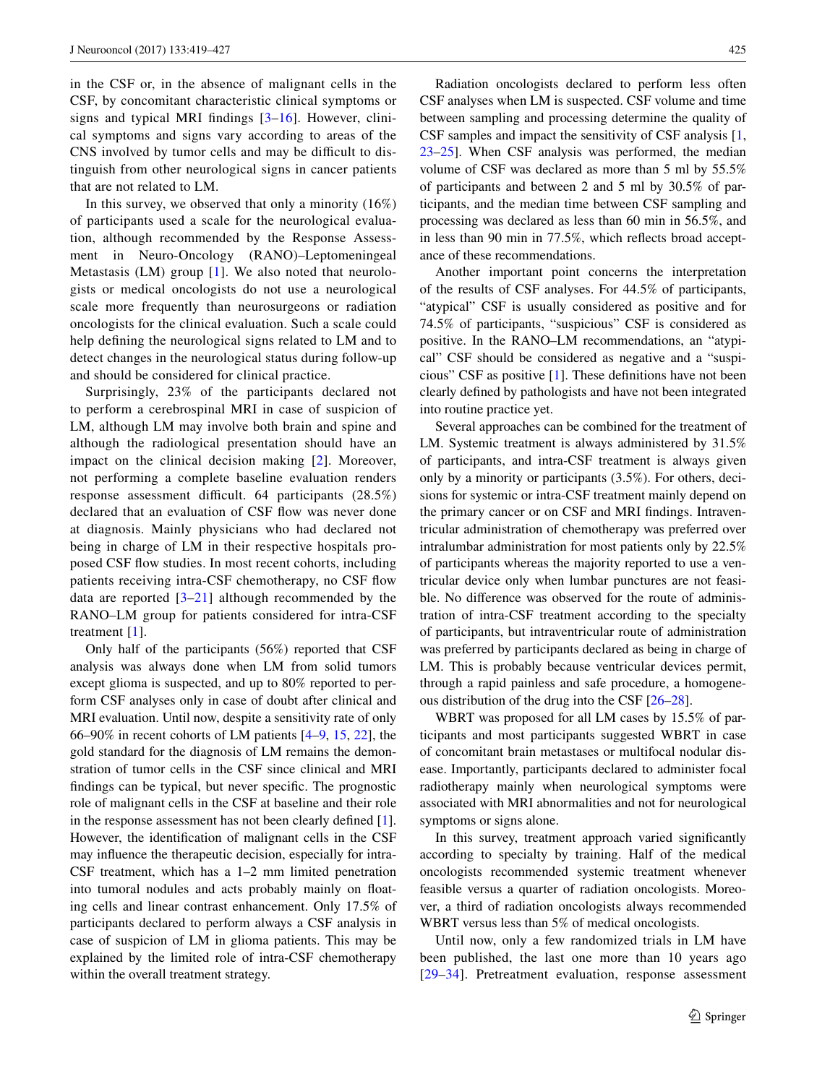in the CSF or, in the absence of malignant cells in the CSF, by concomitant characteristic clinical symptoms or signs and typical MRI findings [[3](#page-7-2)[–16](#page-8-0)]. However, clinical symptoms and signs vary according to areas of the CNS involved by tumor cells and may be difficult to distinguish from other neurological signs in cancer patients that are not related to LM.

In this survey, we observed that only a minority (16%) of participants used a scale for the neurological evaluation, although recommended by the Response Assessment in Neuro-Oncology (RANO)–Leptomeningeal Metastasis (LM) group [[1\]](#page-7-0). We also noted that neurologists or medical oncologists do not use a neurological scale more frequently than neurosurgeons or radiation oncologists for the clinical evaluation. Such a scale could help defining the neurological signs related to LM and to detect changes in the neurological status during follow-up and should be considered for clinical practice.

Surprisingly, 23% of the participants declared not to perform a cerebrospinal MRI in case of suspicion of LM, although LM may involve both brain and spine and although the radiological presentation should have an impact on the clinical decision making [[2\]](#page-7-1). Moreover, not performing a complete baseline evaluation renders response assessment difficult. 64 participants (28.5%) declared that an evaluation of CSF flow was never done at diagnosis. Mainly physicians who had declared not being in charge of LM in their respective hospitals proposed CSF flow studies. In most recent cohorts, including patients receiving intra-CSF chemotherapy, no CSF flow data are reported  $[3-21]$  $[3-21]$  $[3-21]$  although recommended by the RANO–LM group for patients considered for intra-CSF treatment [\[1](#page-7-0)].

Only half of the participants (56%) reported that CSF analysis was always done when LM from solid tumors except glioma is suspected, and up to 80% reported to perform CSF analyses only in case of doubt after clinical and MRI evaluation. Until now, despite a sensitivity rate of only 66–90% in recent cohorts of LM patients [[4–](#page-7-3)[9,](#page-7-4) [15,](#page-8-2) [22](#page-8-3)], the gold standard for the diagnosis of LM remains the demonstration of tumor cells in the CSF since clinical and MRI findings can be typical, but never specific. The prognostic role of malignant cells in the CSF at baseline and their role in the response assessment has not been clearly defined [\[1](#page-7-0)]. However, the identification of malignant cells in the CSF may influence the therapeutic decision, especially for intra-CSF treatment, which has a 1–2 mm limited penetration into tumoral nodules and acts probably mainly on floating cells and linear contrast enhancement. Only 17.5% of participants declared to perform always a CSF analysis in case of suspicion of LM in glioma patients. This may be explained by the limited role of intra-CSF chemotherapy within the overall treatment strategy.

Radiation oncologists declared to perform less often CSF analyses when LM is suspected. CSF volume and time between sampling and processing determine the quality of CSF samples and impact the sensitivity of CSF analysis [[1,](#page-7-0) [23](#page-8-4)[–25](#page-8-5)]. When CSF analysis was performed, the median volume of CSF was declared as more than 5 ml by 55.5% of participants and between 2 and 5 ml by 30.5% of participants, and the median time between CSF sampling and processing was declared as less than 60 min in 56.5%, and in less than 90 min in 77.5%, which reflects broad acceptance of these recommendations.

Another important point concerns the interpretation of the results of CSF analyses. For 44.5% of participants, "atypical" CSF is usually considered as positive and for 74.5% of participants, "suspicious" CSF is considered as positive. In the RANO–LM recommendations, an "atypical" CSF should be considered as negative and a "suspicious" CSF as positive [[1\]](#page-7-0). These definitions have not been clearly defined by pathologists and have not been integrated into routine practice yet.

Several approaches can be combined for the treatment of LM. Systemic treatment is always administered by 31.5% of participants, and intra-CSF treatment is always given only by a minority or participants (3.5%). For others, decisions for systemic or intra-CSF treatment mainly depend on the primary cancer or on CSF and MRI findings. Intraventricular administration of chemotherapy was preferred over intralumbar administration for most patients only by 22.5% of participants whereas the majority reported to use a ventricular device only when lumbar punctures are not feasible. No difference was observed for the route of administration of intra-CSF treatment according to the specialty of participants, but intraventricular route of administration was preferred by participants declared as being in charge of LM. This is probably because ventricular devices permit, through a rapid painless and safe procedure, a homogeneous distribution of the drug into the CSF [\[26](#page-8-6)[–28](#page-8-7)].

WBRT was proposed for all LM cases by 15.5% of participants and most participants suggested WBRT in case of concomitant brain metastases or multifocal nodular disease. Importantly, participants declared to administer focal radiotherapy mainly when neurological symptoms were associated with MRI abnormalities and not for neurological symptoms or signs alone.

In this survey, treatment approach varied significantly according to specialty by training. Half of the medical oncologists recommended systemic treatment whenever feasible versus a quarter of radiation oncologists. Moreover, a third of radiation oncologists always recommended WBRT versus less than 5% of medical oncologists.

Until now, only a few randomized trials in LM have been published, the last one more than 10 years ago [[29–](#page-8-8)[34](#page-8-9)]. Pretreatment evaluation, response assessment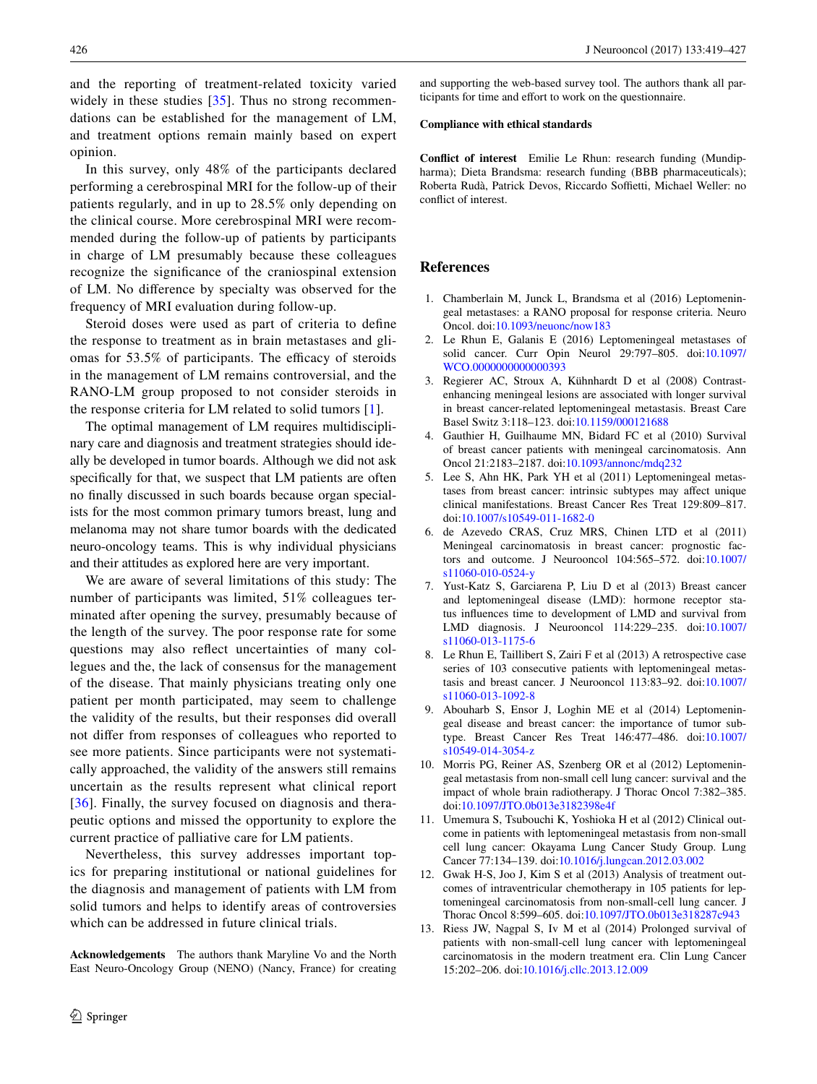and the reporting of treatment-related toxicity varied widely in these studies [[35](#page-8-10)]. Thus no strong recommendations can be established for the management of LM, and treatment options remain mainly based on expert opinion.

In this survey, only 48% of the participants declared performing a cerebrospinal MRI for the follow-up of their patients regularly, and in up to 28.5% only depending on the clinical course. More cerebrospinal MRI were recommended during the follow-up of patients by participants in charge of LM presumably because these colleagues recognize the significance of the craniospinal extension of LM. No difference by specialty was observed for the frequency of MRI evaluation during follow-up.

Steroid doses were used as part of criteria to define the response to treatment as in brain metastases and gliomas for 53.5% of participants. The efficacy of steroids in the management of LM remains controversial, and the RANO-LM group proposed to not consider steroids in the response criteria for LM related to solid tumors [[1](#page-7-0)].

The optimal management of LM requires multidisciplinary care and diagnosis and treatment strategies should ideally be developed in tumor boards. Although we did not ask specifically for that, we suspect that LM patients are often no finally discussed in such boards because organ specialists for the most common primary tumors breast, lung and melanoma may not share tumor boards with the dedicated neuro-oncology teams. This is why individual physicians and their attitudes as explored here are very important.

We are aware of several limitations of this study: The number of participants was limited, 51% colleagues terminated after opening the survey, presumably because of the length of the survey. The poor response rate for some questions may also reflect uncertainties of many collegues and the, the lack of consensus for the management of the disease. That mainly physicians treating only one patient per month participated, may seem to challenge the validity of the results, but their responses did overall not differ from responses of colleagues who reported to see more patients. Since participants were not systematically approached, the validity of the answers still remains uncertain as the results represent what clinical report [\[36\]](#page-8-11). Finally, the survey focused on diagnosis and therapeutic options and missed the opportunity to explore the current practice of palliative care for LM patients.

Nevertheless, this survey addresses important topics for preparing institutional or national guidelines for the diagnosis and management of patients with LM from solid tumors and helps to identify areas of controversies which can be addressed in future clinical trials.

**Acknowledgements** The authors thank Maryline Vo and the North East Neuro-Oncology Group (NENO) (Nancy, France) for creating and supporting the web-based survey tool. The authors thank all participants for time and effort to work on the questionnaire.

#### **Compliance with ethical standards**

**Conflict of interest** Emilie Le Rhun: research funding (Mundipharma); Dieta Brandsma: research funding (BBB pharmaceuticals); Roberta Rudà, Patrick Devos, Riccardo Soffietti, Michael Weller: no conflict of interest.

# **References**

- <span id="page-7-0"></span>1. Chamberlain M, Junck L, Brandsma et al (2016) Leptomeningeal metastases: a RANO proposal for response criteria. Neuro Oncol. doi[:10.1093/neuonc/now183](http://dx.doi.org/10.1093/neuonc/now183)
- <span id="page-7-1"></span>2. Le Rhun E, Galanis E (2016) Leptomeningeal metastases of solid cancer. Curr Opin Neurol 29:797–805. doi[:10.1097/](http://dx.doi.org/10.1097/WCO.0000000000000393) [WCO.0000000000000393](http://dx.doi.org/10.1097/WCO.0000000000000393)
- <span id="page-7-2"></span>3. Regierer AC, Stroux A, Kühnhardt D et al (2008) Contrastenhancing meningeal lesions are associated with longer survival in breast cancer-related leptomeningeal metastasis. Breast Care Basel Switz 3:118–123. doi[:10.1159/000121688](http://dx.doi.org/10.1159/000121688)
- <span id="page-7-3"></span>4. Gauthier H, Guilhaume MN, Bidard FC et al (2010) Survival of breast cancer patients with meningeal carcinomatosis. Ann Oncol 21:2183–2187. doi:[10.1093/annonc/mdq232](http://dx.doi.org/10.1093/annonc/mdq232)
- 5. Lee S, Ahn HK, Park YH et al (2011) Leptomeningeal metastases from breast cancer: intrinsic subtypes may affect unique clinical manifestations. Breast Cancer Res Treat 129:809–817. doi[:10.1007/s10549-011-1682-0](http://dx.doi.org/10.1007/s10549-011-1682-0)
- 6. de Azevedo CRAS, Cruz MRS, Chinen LTD et al (2011) Meningeal carcinomatosis in breast cancer: prognostic factors and outcome. J Neurooncol 104:565–572. doi[:10.1007/](http://dx.doi.org/10.1007/s11060-010-0524-y) [s11060-010-0524-y](http://dx.doi.org/10.1007/s11060-010-0524-y)
- 7. Yust-Katz S, Garciarena P, Liu D et al (2013) Breast cancer and leptomeningeal disease (LMD): hormone receptor status influences time to development of LMD and survival from LMD diagnosis. J Neurooncol 114:229–235. doi[:10.1007/](http://dx.doi.org/10.1007/s11060-013-1175-6) [s11060-013-1175-6](http://dx.doi.org/10.1007/s11060-013-1175-6)
- 8. Le Rhun E, Taillibert S, Zairi F et al (2013) A retrospective case series of 103 consecutive patients with leptomeningeal metastasis and breast cancer. J Neurooncol 113:83–92. doi[:10.1007/](http://dx.doi.org/10.1007/s11060-013-1092-8) [s11060-013-1092-8](http://dx.doi.org/10.1007/s11060-013-1092-8)
- <span id="page-7-4"></span>9. Abouharb S, Ensor J, Loghin ME et al (2014) Leptomeningeal disease and breast cancer: the importance of tumor subtype. Breast Cancer Res Treat 146:477–486. doi[:10.1007/](http://dx.doi.org/10.1007/s10549-014-3054-z) [s10549-014-3054-z](http://dx.doi.org/10.1007/s10549-014-3054-z)
- 10. Morris PG, Reiner AS, Szenberg OR et al (2012) Leptomeningeal metastasis from non-small cell lung cancer: survival and the impact of whole brain radiotherapy. J Thorac Oncol 7:382–385. doi[:10.1097/JTO.0b013e3182398e4f](http://dx.doi.org/10.1097/JTO.0b013e3182398e4f)
- 11. Umemura S, Tsubouchi K, Yoshioka H et al (2012) Clinical outcome in patients with leptomeningeal metastasis from non-small cell lung cancer: Okayama Lung Cancer Study Group. Lung Cancer 77:134–139. doi[:10.1016/j.lungcan.2012.03.002](http://dx.doi.org/10.1016/j.lungcan.2012.03.002)
- 12. Gwak H-S, Joo J, Kim S et al (2013) Analysis of treatment outcomes of intraventricular chemotherapy in 105 patients for leptomeningeal carcinomatosis from non-small-cell lung cancer. J Thorac Oncol 8:599–605. doi[:10.1097/JTO.0b013e318287c943](http://dx.doi.org/10.1097/JTO.0b013e318287c943)
- 13. Riess JW, Nagpal S, Iv M et al (2014) Prolonged survival of patients with non-small-cell lung cancer with leptomeningeal carcinomatosis in the modern treatment era. Clin Lung Cancer 15:202–206. doi[:10.1016/j.cllc.2013.12.009](http://dx.doi.org/10.1016/j.cllc.2013.12.009)